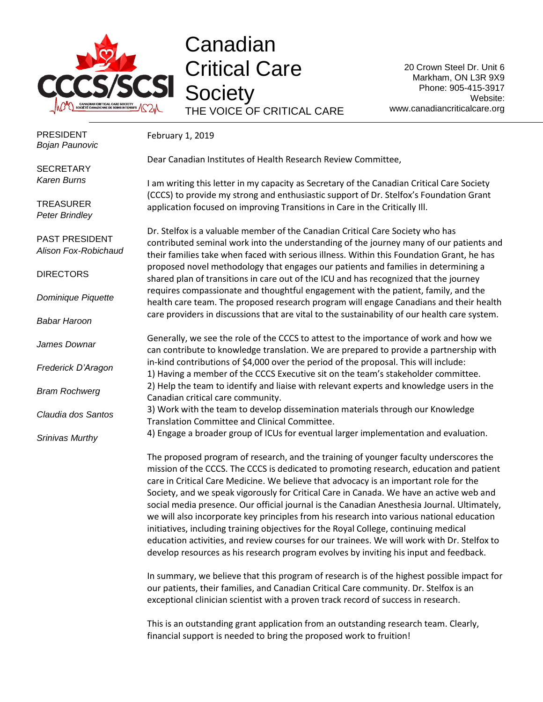

## Canadian Critical Care **Society** THE VOICE OF CRITICAL CARE

20 Crown Steel Dr. Unit 6 Markham, ON L3R 9X9 Phone: 905-415-3917 Website: www.canadiancriticalcare.org

February 1, 2019

PRESIDENT *Bojan Paunovic*

Dear Canadian Institutes of Health Research Review Committee,

**SECRETARY** *Karen Burns*

**TREASURER** *Peter Brindley*

PAST PRESIDENT *Alison Fox-Robichaud*

**DIRECTORS** 

*Dominique Piquette*

*Babar Haroon*

*James Downar*

*Frederick D'Aragon*

*Bram Rochwerg*

*Claudia dos Santos*

*Srinivas Murthy*

I am writing this letter in my capacity as Secretary of the Canadian Critical Care Society (CCCS) to provide my strong and enthusiastic support of Dr. Stelfox's Foundation Grant application focused on improving Transitions in Care in the Critically Ill.

Dr. Stelfox is a valuable member of the Canadian Critical Care Society who has contributed seminal work into the understanding of the journey many of our patients and their families take when faced with serious illness. Within this Foundation Grant, he has proposed novel methodology that engages our patients and families in determining a shared plan of transitions in care out of the ICU and has recognized that the journey requires compassionate and thoughtful engagement with the patient, family, and the health care team. The proposed research program will engage Canadians and their health care providers in discussions that are vital to the sustainability of our health care system.

Generally, we see the role of the CCCS to attest to the importance of work and how we can contribute to knowledge translation. We are prepared to provide a partnership with in-kind contributions of \$4,000 over the period of the proposal. This will include: 1) Having a member of the CCCS Executive sit on the team's stakeholder committee. 2) Help the team to identify and liaise with relevant experts and knowledge users in the Canadian critical care community.

3) Work with the team to develop dissemination materials through our Knowledge Translation Committee and Clinical Committee.

4) Engage a broader group of ICUs for eventual larger implementation and evaluation.

The proposed program of research, and the training of younger faculty underscores the mission of the CCCS. The CCCS is dedicated to promoting research, education and patient care in Critical Care Medicine. We believe that advocacy is an important role for the Society, and we speak vigorously for Critical Care in Canada. We have an active web and social media presence. Our official journal is the Canadian Anesthesia Journal. Ultimately, we will also incorporate key principles from his research into various national education initiatives, including training objectives for the Royal College, continuing medical education activities, and review courses for our trainees. We will work with Dr. Stelfox to develop resources as his research program evolves by inviting his input and feedback.

In summary, we believe that this program of research is of the highest possible impact for our patients, their families, and Canadian Critical Care community. Dr. Stelfox is an exceptional clinician scientist with a proven track record of success in research.

This is an outstanding grant application from an outstanding research team. Clearly, financial support is needed to bring the proposed work to fruition!